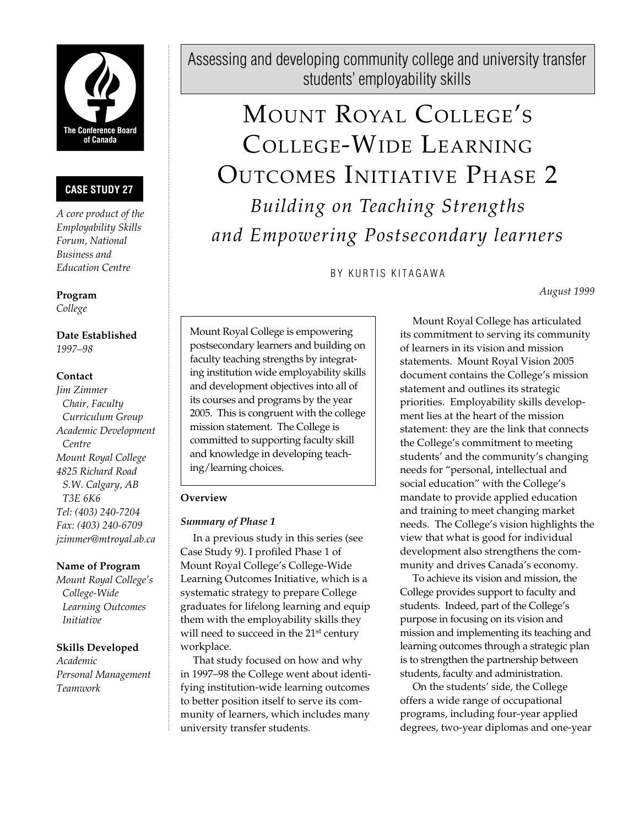

# **CASE STUDY 27**

*A core product of the Employability Skills Forum, National Business and Education Centre*

**Program** *College*

**Date Established** *1997–98*

#### **Contact**

*Jim Zimmer Chair, Faculty Curriculum Group Academic Development Centre Mount Royal College 4825 Richard Road S.W. Calgary, AB T3E 6K6 Tel: (403) 240-7204 Fax: (403) 240-6709 jzimmer@mtroyal.ab.ca*

#### **Name of Program**

*Mount Royal College's College-Wide Learning Outcomes Initiative*

#### **Skills Developed**

*Academic Personal Management Teamwork*

Assessing and developing community college and university transfer students' employability skills

# MOUNT ROYAL COLLEGE'S COLLEGE-WIDE LEARNING OUTCOMES INITIATIVE PHASE 2 *Building on Teaching Strengths and Empowering Postsecondary learners*

BY KURTIS KITAGAWA

*August 1999*

Mount Royal College is empowering postsecondary learners and building on faculty teaching strengths by integrating institution wide employability skills and development objectives into all of its courses and programs by the year 2005. This is congruent with the college mission statement. The College is committed to supporting faculty skill and knowledge in developing teaching/learning choices.

#### **Overview**

## *Summary of Phase 1*

In a previous study in this series (see Case Study 9). I profiled Phase 1 of Mount Royal College's College-Wide Learning Outcomes Initiative, which is a systematic strategy to prepare College graduates for lifelong learning and equip them with the employability skills they will need to succeed in the 21<sup>st</sup> century workplace.

That study focused on how and why in 1997–98 the College went about identifying institution-wide learning outcomes to better position itself to serve its community of learners, which includes many university transfer students.

Mount Royal College has articulated its commitment to serving its community of learners in its vision and mission statements. Mount Royal Vision 2005 document contains the College's mission statement and outlines its strategic priorities. Employability skills development lies at the heart of the mission statement: they are the link that connects the College's commitment to meeting students' and the community's changing needs for "personal, intellectual and social education" with the College's mandate to provide applied education and training to meet changing market needs. The College's vision highlights the view that what is good for individual development also strengthens the community and drives Canada's economy.

To achieve its vision and mission, the College provides support to faculty and students. Indeed, part of the College's purpose in focusing on its vision and mission and implementing its teaching and learning outcomes through a strategic plan is to strengthen the partnership between students, faculty and administration.

On the students' side, the College offers a wide range of occupational programs, including four-year applied degrees, two-year diplomas and one-year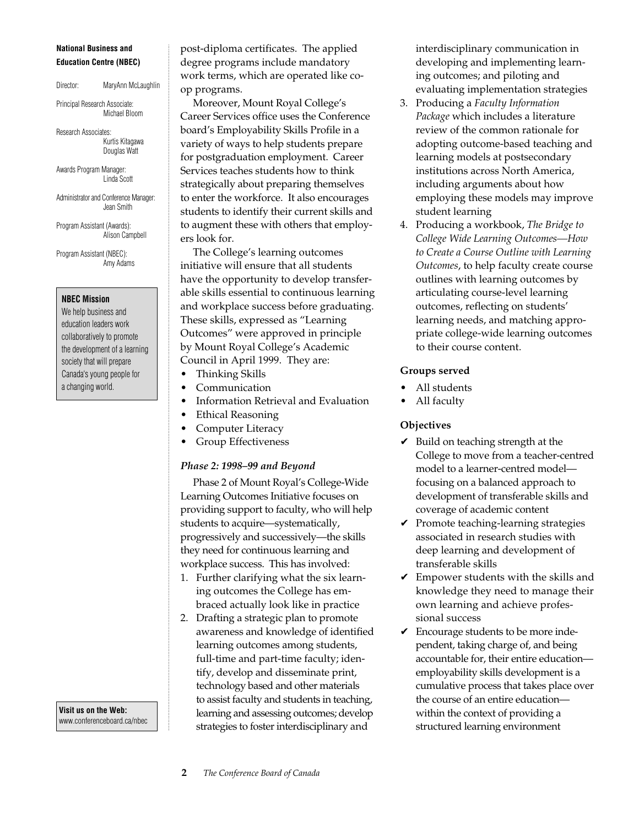#### **National Business and Education Centre (NBEC)**

Director: MaryAnn McLaughlin

Principal Research Associate: Michael Bloom

Research Associates: Kurtis Kitagawa Douglas Watt

Awards Program Manager: Linda Scott

Administrator and Conference Manager: Jean Smith

Program Assistant (Awards): Alison Campbell

Program Assistant (NBEC): Amy Adams

#### **NBEC Mission**

We help business and education leaders work collaboratively to promote the development of a learning society that will prepare Canada's young people for a changing world.

**Visit us on the Web:** www.conferenceboard.ca/nbec post-diploma certificates. The applied degree programs include mandatory work terms, which are operated like coop programs.

Moreover, Mount Royal College's Career Services office uses the Conference board's Employability Skills Profile in a variety of ways to help students prepare for postgraduation employment. Career Services teaches students how to think strategically about preparing themselves to enter the workforce. It also encourages students to identify their current skills and to augment these with others that employers look for.

The College's learning outcomes initiative will ensure that all students have the opportunity to develop transferable skills essential to continuous learning and workplace success before graduating. These skills, expressed as "Learning Outcomes" were approved in principle by Mount Royal College's Academic Council in April 1999. They are:

- Thinking Skills
- Communication
- Information Retrieval and Evaluation
- Ethical Reasoning
- Computer Literacy
- Group Effectiveness

#### *Phase 2: 1998–99 and Beyond*

Phase 2 of Mount Royal's College-Wide Learning Outcomes Initiative focuses on providing support to faculty, who will help students to acquire—systematically, progressively and successively—the skills they need for continuous learning and workplace success. This has involved:

- 1. Further clarifying what the six learning outcomes the College has embraced actually look like in practice
- 2. Drafting a strategic plan to promote awareness and knowledge of identified learning outcomes among students, full-time and part-time faculty; identify, develop and disseminate print, technology based and other materials to assist faculty and students in teaching, learning and assessing outcomes; develop strategies to foster interdisciplinary and

interdisciplinary communication in developing and implementing learning outcomes; and piloting and evaluating implementation strategies

- 3. Producing a *Faculty Information Package* which includes a literature review of the common rationale for adopting outcome-based teaching and learning models at postsecondary institutions across North America, including arguments about how employing these models may improve student learning
- 4. Producing a workbook, *The Bridge to College Wide Learning Outcomes—How to Create a Course Outline with Learning Outcomes*, to help faculty create course outlines with learning outcomes by articulating course-level learning outcomes, reflecting on students' learning needs, and matching appropriate college-wide learning outcomes to their course content.

#### **Groups served**

- All students
- All faculty

## **Objectives**

- $\vee$  Build on teaching strength at the College to move from a teacher-centred model to a learner-centred model focusing on a balanced approach to development of transferable skills and coverage of academic content
- $\vee$  Promote teaching-learning strategies associated in research studies with deep learning and development of transferable skills
- $\vee$  Empower students with the skills and knowledge they need to manage their own learning and achieve professional success
- $\vee$  Encourage students to be more independent, taking charge of, and being accountable for, their entire education employability skills development is a cumulative process that takes place over the course of an entire education within the context of providing a structured learning environment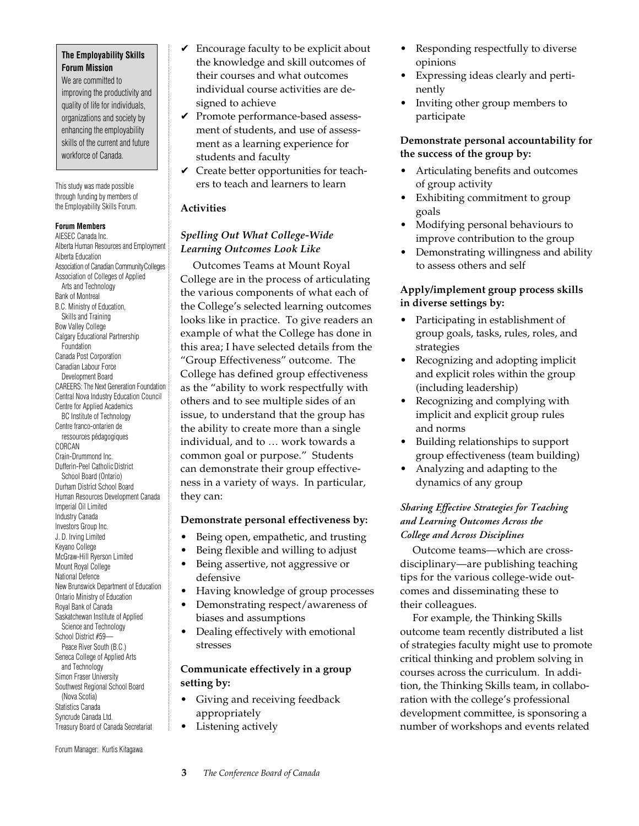#### **The Employability Skills Forum Mission**

We are committed to improving the productivity and quality of life for individuals, organizations and society by enhancing the employability skills of the current and future workforce of Canada.

This study was made possible through funding by members of the Employability Skills Forum.

#### **Forum Members**

AIESEC Canada Inc. Alberta Human Resources and Employment Alberta Education Association of Canadian CommunityColleges Association of Colleges of Applied Arts and Technology Bank of Montreal B.C. Ministry of Education, Skills and Training Bow Valley College Calgary Educational Partnership Foundation Canada Post Corporation Canadian Labour Force Development Board CAREERS: The Next Generation Foundation Central Nova Industry Education Council Centre for Applied Academics BC Institute of Technology Centre franco-ontarien de ressources pédagogiques CORCAN Crain-Drummond Inc. Dufferin-Peel Catholic District School Board (Ontario) Durham District School Board Human Resources Development Canada Imperial Oil Limited Industry Canada Investors Group Inc. J. D. Irving Limited Keyano College McGraw-Hill Ryerson Limited Mount Royal College National Defence New Brunswick Department of Education Ontario Ministry of Education Royal Bank of Canada Saskatchewan Institute of Applied Science and Technology School District #59— Peace River South (B.C.) Seneca College of Applied Arts and Technology Simon Fraser University Southwest Regional School Board (Nova Scotia) Statistics Canada Syncrude Canada Ltd. Treasury Board of Canada Secretariat

Forum Manager: Kurtis Kitagawa

- $\triangleright$  Encourage faculty to be explicit about the knowledge and skill outcomes of their courses and what outcomes individual course activities are designed to achieve
- ✔ Promote performance-based assessment of students, and use of assessment as a learning experience for students and faculty
- $\checkmark$  Create better opportunities for teachers to teach and learners to learn

#### **Activities**

# *Spelling Out What College-Wide Learning Outcomes Look Like*

Outcomes Teams at Mount Royal College are in the process of articulating the various components of what each of the College's selected learning outcomes looks like in practice. To give readers an example of what the College has done in this area; I have selected details from the "Group Effectiveness" outcome. The College has defined group effectiveness as the "ability to work respectfully with others and to see multiple sides of an issue, to understand that the group has the ability to create more than a single individual, and to … work towards a common goal or purpose." Students can demonstrate their group effectiveness in a variety of ways. In particular, they can:

#### **Demonstrate personal effectiveness by:**

- Being open, empathetic, and trusting
- Being flexible and willing to adjust
- Being assertive, not aggressive or defensive
- Having knowledge of group processes
- Demonstrating respect/awareness of biases and assumptions
- Dealing effectively with emotional stresses

## **Communicate effectively in a group setting by:**

- Giving and receiving feedback appropriately
- Listening actively
- Responding respectfully to diverse opinions
- Expressing ideas clearly and pertinently
- Inviting other group members to participate

## **Demonstrate personal accountability for the success of the group by:**

- Articulating benefits and outcomes of group activity
- Exhibiting commitment to group goals
- Modifying personal behaviours to improve contribution to the group
- Demonstrating willingness and ability to assess others and self

## **Apply/implement group process skills in diverse settings by:**

- Participating in establishment of group goals, tasks, rules, roles, and strategies
- Recognizing and adopting implicit and explicit roles within the group (including leadership)
- Recognizing and complying with implicit and explicit group rules and norms
- Building relationships to support group effectiveness (team building)
- Analyzing and adapting to the dynamics of any group

## *Sharing Effective Strategies for Teaching and Learning Outcomes Across the College and Across Disciplines*

Outcome teams—which are crossdisciplinary—are publishing teaching tips for the various college-wide outcomes and disseminating these to their colleagues.

For example, the Thinking Skills outcome team recently distributed a list of strategies faculty might use to promote critical thinking and problem solving in courses across the curriculum. In addition, the Thinking Skills team, in collaboration with the college's professional development committee, is sponsoring a number of workshops and events related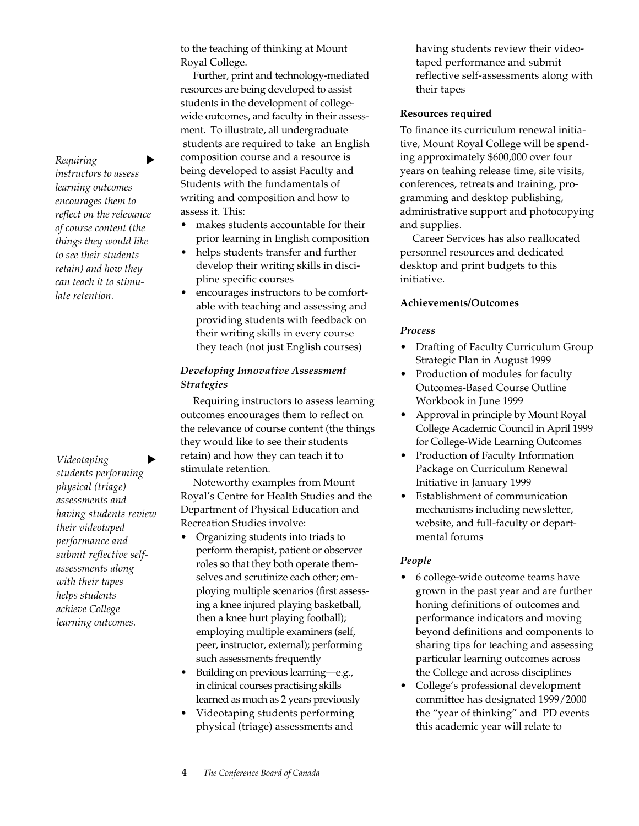$R$ *equiring instructors to assess learning outcomes encourages them to reflect on the relevance of course content (the things they would like to see their students retain) and how they can teach it to stimulate retention.*

 $Videotaping$ *students performing physical (triage) assessments and having students review their videotaped performance and submit reflective selfassessments along with their tapes helps students achieve College learning outcomes.*

to the teaching of thinking at Mount Royal College.

Further, print and technology-mediated resources are being developed to assist students in the development of collegewide outcomes, and faculty in their assessment. To illustrate, all undergraduate students are required to take an English composition course and a resource is being developed to assist Faculty and Students with the fundamentals of writing and composition and how to assess it. This:

- makes students accountable for their prior learning in English composition
- helps students transfer and further develop their writing skills in discipline specific courses
- encourages instructors to be comfortable with teaching and assessing and providing students with feedback on their writing skills in every course they teach (not just English courses)

## *Developing Innovative Assessment Strategies*

Requiring instructors to assess learning outcomes encourages them to reflect on the relevance of course content (the things they would like to see their students retain) and how they can teach it to stimulate retention.

Noteworthy examples from Mount Royal's Centre for Health Studies and the Department of Physical Education and Recreation Studies involve:

- Organizing students into triads to perform therapist, patient or observer roles so that they both operate themselves and scrutinize each other; employing multiple scenarios (first assessing a knee injured playing basketball, then a knee hurt playing football); employing multiple examiners (self, peer, instructor, external); performing such assessments frequently
- Building on previous learning—e.g., in clinical courses practising skills learned as much as 2 years previously
- Videotaping students performing physical (triage) assessments and

having students review their videotaped performance and submit reflective self-assessments along with their tapes

#### **Resources required**

To finance its curriculum renewal initiative, Mount Royal College will be spending approximately \$600,000 over four years on teahing release time, site visits, conferences, retreats and training, programming and desktop publishing, administrative support and photocopying and supplies.

Career Services has also reallocated personnel resources and dedicated desktop and print budgets to this initiative.

#### **Achievements/Outcomes**

## *Process*

- Drafting of Faculty Curriculum Group Strategic Plan in August 1999
- Production of modules for faculty Outcomes-Based Course Outline Workbook in June 1999
- Approval in principle by Mount Royal College Academic Council in April 1999 for College-Wide Learning Outcomes
- Production of Faculty Information Package on Curriculum Renewal Initiative in January 1999
- Establishment of communication mechanisms including newsletter, website, and full-faculty or departmental forums

## *People*

- 6 college-wide outcome teams have grown in the past year and are further honing definitions of outcomes and performance indicators and moving beyond definitions and components to sharing tips for teaching and assessing particular learning outcomes across the College and across disciplines
- College's professional development committee has designated 1999/2000 the "year of thinking" and PD events this academic year will relate to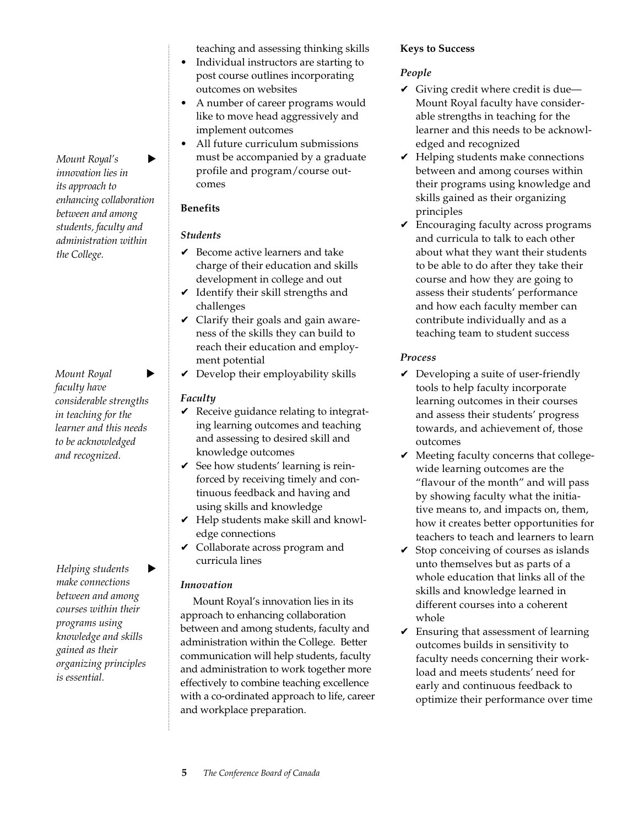*Mount Royal's innovation lies in its approach to enhancing collaboration between and among students, faculty and administration within the College.*

*Mount Royal faculty have considerable strengths in teaching for the learner and this needs to be acknowledged and recognized.*

 $H$ *elping students make connections between and among courses within their programs using knowledge and skills gained as their organizing principles is essential.*

teaching and assessing thinking skills

- Individual instructors are starting to post course outlines incorporating outcomes on websites
- A number of career programs would like to move head aggressively and implement outcomes
- All future curriculum submissions must be accompanied by a graduate profile and program/course outcomes

# **Benefits**

# *Students*

- $\vee$  Become active learners and take charge of their education and skills development in college and out
- $\checkmark$  Identify their skill strengths and challenges
- $\vee$  Clarify their goals and gain awareness of the skills they can build to reach their education and employment potential
- $\vee$  Develop their employability skills

# *Faculty*

- $\vee$  Receive guidance relating to integrating learning outcomes and teaching and assessing to desired skill and knowledge outcomes
- $\checkmark$  See how students' learning is reinforced by receiving timely and continuous feedback and having and using skills and knowledge
- $\vee$  Help students make skill and knowledge connections
- $\vee$  Collaborate across program and curricula lines

# *Innovation*

Mount Royal's innovation lies in its approach to enhancing collaboration between and among students, faculty and administration within the College. Better communication will help students, faculty and administration to work together more effectively to combine teaching excellence with a co-ordinated approach to life, career and workplace preparation.

# **Keys to Success**

# *People*

- $\vee$  Giving credit where credit is due— Mount Royal faculty have considerable strengths in teaching for the learner and this needs to be acknowledged and recognized
- $\vee$  Helping students make connections between and among courses within their programs using knowledge and skills gained as their organizing principles
- $\vee$  Encouraging faculty across programs and curricula to talk to each other about what they want their students to be able to do after they take their course and how they are going to assess their students' performance and how each faculty member can contribute individually and as a teaching team to student success

# *Process*

- $\vee$  Developing a suite of user-friendly tools to help faculty incorporate learning outcomes in their courses and assess their students' progress towards, and achievement of, those outcomes
- $\blacktriangleright$  Meeting faculty concerns that collegewide learning outcomes are the "flavour of the month" and will pass by showing faculty what the initiative means to, and impacts on, them, how it creates better opportunities for teachers to teach and learners to learn
- $\checkmark$  Stop conceiving of courses as islands unto themselves but as parts of a whole education that links all of the skills and knowledge learned in different courses into a coherent whole
- $\checkmark$  Ensuring that assessment of learning outcomes builds in sensitivity to faculty needs concerning their workload and meets students' need for early and continuous feedback to optimize their performance over time